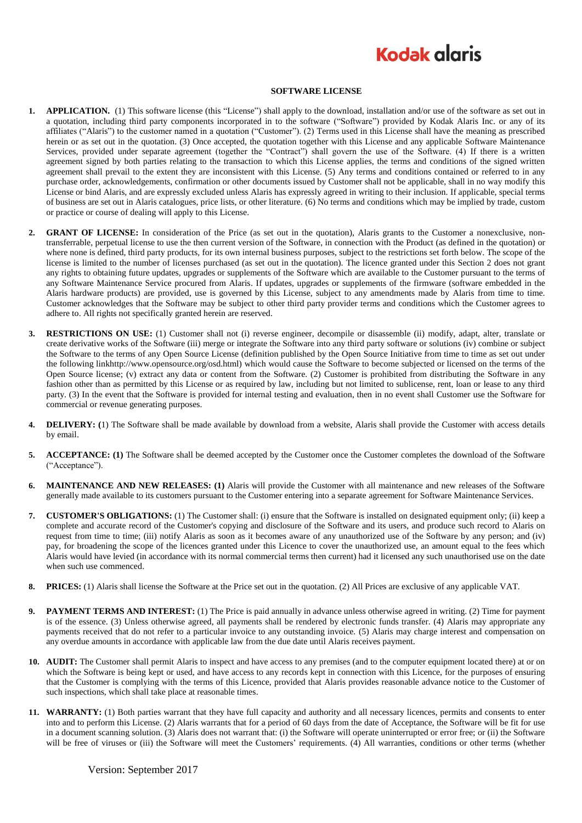## **Kodak glgris**

## **SOFTWARE LICENSE**

- **1. APPLICATION.** (1) This software license (this "License") shall apply to the download, installation and/or use of the software as set out in a quotation, including third party components incorporated in to the software ("Software") provided by Kodak Alaris Inc. or any of its affiliates ("Alaris") to the customer named in a quotation ("Customer"). (2) Terms used in this License shall have the meaning as prescribed herein or as set out in the quotation. (3) Once accepted, the quotation together with this License and any applicable Software Maintenance Services, provided under separate agreement (together the "Contract") shall govern the use of the Software. (4) If there is a written agreement signed by both parties relating to the transaction to which this License applies, the terms and conditions of the signed written agreement shall prevail to the extent they are inconsistent with this License. (5) Any terms and conditions contained or referred to in any purchase order, acknowledgements, confirmation or other documents issued by Customer shall not be applicable, shall in no way modify this License or bind Alaris, and are expressly excluded unless Alaris has expressly agreed in writing to their inclusion. If applicable, special terms of business are set out in Alaris catalogues, price lists, or other literature. (6) No terms and conditions which may be implied by trade, custom or practice or course of dealing will apply to this License.
- **2. GRANT OF LICENSE:** In consideration of the Price (as set out in the quotation), Alaris grants to the Customer a nonexclusive, nontransferrable, perpetual license to use the then current version of the Software, in connection with the Product (as defined in the quotation) or where none is defined, third party products, for its own internal business purposes, subject to the restrictions set forth below. The scope of the license is limited to the number of licenses purchased (as set out in the quotation). The licence granted under this Section 2 does not grant any rights to obtaining future updates, upgrades or supplements of the Software which are available to the Customer pursuant to the terms of any Software Maintenance Service procured from Alaris. If updates, upgrades or supplements of the firmware (software embedded in the Alaris hardware products) are provided, use is governed by this License, subject to any amendments made by Alaris from time to time. Customer acknowledges that the Software may be subject to other third party provider terms and conditions which the Customer agrees to adhere to. All rights not specifically granted herein are reserved.
- **3. RESTRICTIONS ON USE:** (1) Customer shall not (i) reverse engineer, decompile or disassemble (ii) modify, adapt, alter, translate or create derivative works of the Software (iii) merge or integrate the Software into any third party software or solutions (iv) combine or subject the Software to the terms of any Open Source License (definition published by the Open Source Initiative from time to time as set out under the following linkhttp://www.opensource.org/osd.html) which would cause the Software to become subjected or licensed on the terms of the Open Source license; (v) extract any data or content from the Software. (2) Customer is prohibited from distributing the Software in any fashion other than as permitted by this License or as required by law, including but not limited to sublicense, rent, loan or lease to any third party. (3) In the event that the Software is provided for internal testing and evaluation, then in no event shall Customer use the Software for commercial or revenue generating purposes.
- **4. DELIVERY: (**1) The Software shall be made available by download from a website, Alaris shall provide the Customer with access details by email.
- **5. ACCEPTANCE: (1)** The Software shall be deemed accepted by the Customer once the Customer completes the download of the Software ("Acceptance").
- **6. MAINTENANCE AND NEW RELEASES: (1)** Alaris will provide the Customer with all maintenance and new releases of the Software generally made available to its customers pursuant to the Customer entering into a separate agreement for Software Maintenance Services.
- **7. CUSTOMER'S OBLIGATIONS:** (1) The Customer shall: (i) ensure that the Software is installed on designated equipment only; (ii) keep a complete and accurate record of the Customer's copying and disclosure of the Software and its users, and produce such record to Alaris on request from time to time; (iii) notify Alaris as soon as it becomes aware of any unauthorized use of the Software by any person; and (iv) pay, for broadening the scope of the licences granted under this Licence to cover the unauthorized use, an amount equal to the fees which Alaris would have levied (in accordance with its normal commercial terms then current) had it licensed any such unauthorised use on the date when such use commenced.
- **8. PRICES:** (1) Alaris shall license the Software at the Price set out in the quotation. (2) All Prices are exclusive of any applicable VAT.
- **9. PAYMENT TERMS AND INTEREST:** (1) The Price is paid annually in advance unless otherwise agreed in writing. (2) Time for payment is of the essence. (3) Unless otherwise agreed, all payments shall be rendered by electronic funds transfer. (4) Alaris may appropriate any payments received that do not refer to a particular invoice to any outstanding invoice. (5) Alaris may charge interest and compensation on any overdue amounts in accordance with applicable law from the due date until Alaris receives payment.
- **10. AUDIT:** The Customer shall permit Alaris to inspect and have access to any premises (and to the computer equipment located there) at or on which the Software is being kept or used, and have access to any records kept in connection with this Licence, for the purposes of ensuring that the Customer is complying with the terms of this Licence, provided that Alaris provides reasonable advance notice to the Customer of such inspections, which shall take place at reasonable times.
- **11. WARRANTY:** (1) Both parties warrant that they have full capacity and authority and all necessary licences, permits and consents to enter into and to perform this License. (2) Alaris warrants that for a period of 60 days from the date of Acceptance, the Software will be fit for use in a document scanning solution. (3) Alaris does not warrant that: (i) the Software will operate uninterrupted or error free; or (ii) the Software will be free of viruses or (iii) the Software will meet the Customers' requirements. (4) All warranties, conditions or other terms (whether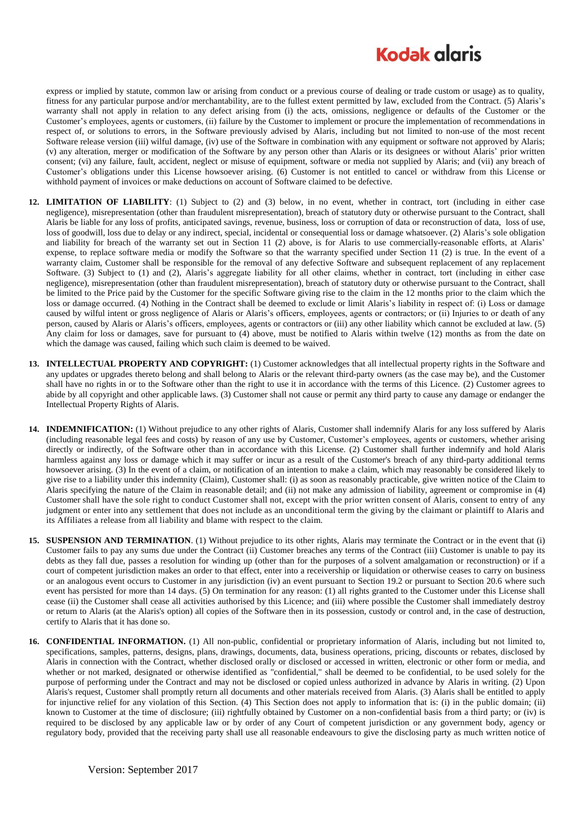## **Kodak glgris**

express or implied by statute, common law or arising from conduct or a previous course of dealing or trade custom or usage) as to quality, fitness for any particular purpose and/or merchantability, are to the fullest extent permitted by law, excluded from the Contract. (5) Alaris's warranty shall not apply in relation to any defect arising from (i) the acts, omissions, negligence or defaults of the Customer or the Customer's employees, agents or customers, (ii) failure by the Customer to implement or procure the implementation of recommendations in respect of, or solutions to errors, in the Software previously advised by Alaris, including but not limited to non-use of the most recent Software release version (iii) wilful damage, (iv) use of the Software in combination with any equipment or software not approved by Alaris; (v) any alteration, merger or modification of the Software by any person other than Alaris or its designees or without Alaris' prior written consent; (vi) any failure, fault, accident, neglect or misuse of equipment, software or media not supplied by Alaris; and (vii) any breach of Customer's obligations under this License howsoever arising. (6) Customer is not entitled to cancel or withdraw from this License or withhold payment of invoices or make deductions on account of Software claimed to be defective.

- **12. LIMITATION OF LIABILITY**: (1) Subject to (2) and (3) below, in no event, whether in contract, tort (including in either case negligence), misrepresentation (other than fraudulent misrepresentation), breach of statutory duty or otherwise pursuant to the Contract, shall Alaris be liable for any loss of profits, anticipated savings, revenue, business, loss or corruption of data or reconstruction of data, loss of use, loss of goodwill, loss due to delay or any indirect, special, incidental or consequential loss or damage whatsoever. (2) Alaris's sole obligation and liability for breach of the warranty set out in Section 11 (2) above, is for Alaris to use commercially-reasonable efforts, at Alaris' expense, to replace software media or modify the Software so that the warranty specified under Section 11 (2) is true. In the event of a warranty claim, Customer shall be responsible for the removal of any defective Software and subsequent replacement of any replacement Software. (3) Subject to (1) and (2), Alaris's aggregate liability for all other claims, whether in contract, tort (including in either case negligence), misrepresentation (other than fraudulent misrepresentation), breach of statutory duty or otherwise pursuant to the Contract, shall be limited to the Price paid by the Customer for the specific Software giving rise to the claim in the 12 months prior to the claim which the loss or damage occurred. (4) Nothing in the Contract shall be deemed to exclude or limit Alaris's liability in respect of: (i) Loss or damage caused by wilful intent or gross negligence of Alaris or Alaris's officers, employees, agents or contractors; or (ii) Injuries to or death of any person, caused by Alaris or Alaris's officers, employees, agents or contractors or (iii) any other liability which cannot be excluded at law. (5) Any claim for loss or damages, save for pursuant to (4) above, must be notified to Alaris within twelve (12) months as from the date on which the damage was caused, failing which such claim is deemed to be waived.
- **13. INTELLECTUAL PROPERTY AND COPYRIGHT:** (1) Customer acknowledges that all intellectual property rights in the Software and any updates or upgrades thereto belong and shall belong to Alaris or the relevant third-party owners (as the case may be), and the Customer shall have no rights in or to the Software other than the right to use it in accordance with the terms of this Licence. (2) Customer agrees to abide by all copyright and other applicable laws. (3) Customer shall not cause or permit any third party to cause any damage or endanger the Intellectual Property Rights of Alaris.
- **14. INDEMNIFICATION:** (1) Without prejudice to any other rights of Alaris, Customer shall indemnify Alaris for any loss suffered by Alaris (including reasonable legal fees and costs) by reason of any use by Customer, Customer's employees, agents or customers, whether arising directly or indirectly, of the Software other than in accordance with this License. (2) Customer shall further indemnify and hold Alaris harmless against any loss or damage which it may suffer or incur as a result of the Customer's breach of any third-party additional terms howsoever arising. (3) In the event of a claim, or notification of an intention to make a claim, which may reasonably be considered likely to give rise to a liability under this indemnity (Claim), Customer shall: (i) as soon as reasonably practicable, give written notice of the Claim to Alaris specifying the nature of the Claim in reasonable detail; and (ii) not make any admission of liability, agreement or compromise in (4) Customer shall have the sole right to conduct Customer shall not, except with the prior written consent of Alaris, consent to entry of any judgment or enter into any settlement that does not include as an unconditional term the giving by the claimant or plaintiff to Alaris and its Affiliates a release from all liability and blame with respect to the claim.
- **15. SUSPENSION AND TERMINATION**. (1) Without prejudice to its other rights, Alaris may terminate the Contract or in the event that (i) Customer fails to pay any sums due under the Contract (ii) Customer breaches any terms of the Contract (iii) Customer is unable to pay its debts as they fall due, passes a resolution for winding up (other than for the purposes of a solvent amalgamation or reconstruction) or if a court of competent jurisdiction makes an order to that effect, enter into a receivership or liquidation or otherwise ceases to carry on business or an analogous event occurs to Customer in any jurisdiction (iv) an event pursuant to Section 19.2 or pursuant to Section 20.6 where such event has persisted for more than 14 days. (5) On termination for any reason: (1) all rights granted to the Customer under this License shall cease (ii) the Customer shall cease all activities authorised by this Licence; and (iii) where possible the Customer shall immediately destroy or return to Alaris (at the Alaris's option) all copies of the Software then in its possession, custody or control and, in the case of destruction, certify to Alaris that it has done so.
- **16. CONFIDENTIAL INFORMATION.** (1) All non-public, confidential or proprietary information of Alaris, including but not limited to, specifications, samples, patterns, designs, plans, drawings, documents, data, business operations, pricing, discounts or rebates, disclosed by Alaris in connection with the Contract, whether disclosed orally or disclosed or accessed in written, electronic or other form or media, and whether or not marked, designated or otherwise identified as "confidential," shall be deemed to be confidential, to be used solely for the purpose of performing under the Contract and may not be disclosed or copied unless authorized in advance by Alaris in writing. (2) Upon Alaris's request, Customer shall promptly return all documents and other materials received from Alaris. (3) Alaris shall be entitled to apply for injunctive relief for any violation of this Section. (4) This Section does not apply to information that is: (i) in the public domain; (ii) known to Customer at the time of disclosure; (iii) rightfully obtained by Customer on a non-confidential basis from a third party; or (iv) is required to be disclosed by any applicable law or by order of any Court of competent jurisdiction or any government body, agency or regulatory body, provided that the receiving party shall use all reasonable endeavours to give the disclosing party as much written notice of